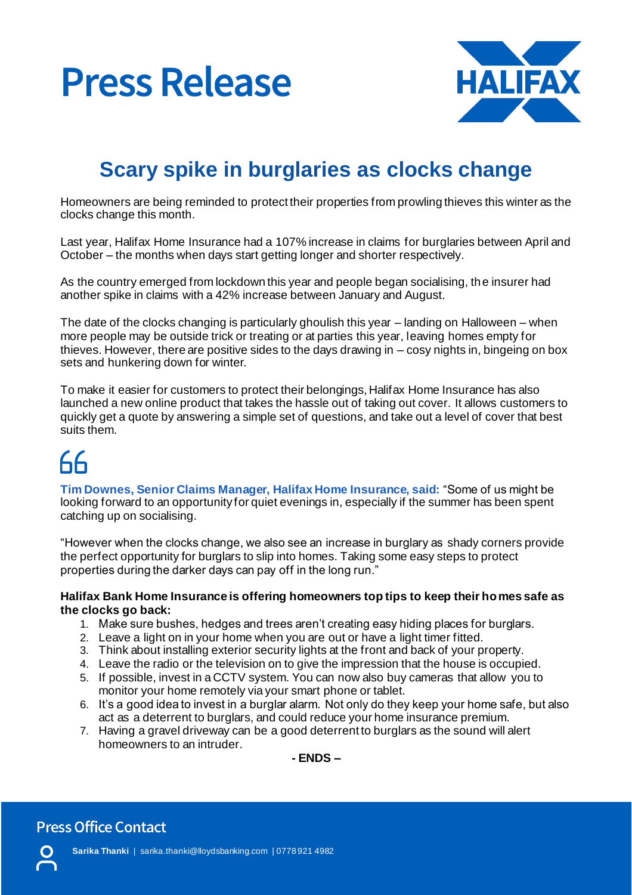



### **Scary spike in burglaries as clocks change**

Homeowners are being reminded to protect their properties from prowling thieves this winter as the clocks change this month.

Last year, Halifax Home Insurance had a 107% increase in claims for burglaries between April and October – the months when days start getting longer and shorter respectively.

As the country emerged from lockdown this year and people began socialising, the insurer had another spike in claims with a 42% increase between January and August.

The date of the clocks changing is particularly ghoulish this year – landing on Halloween – when more people may be outside trick or treating or at parties this year, leaving homes empty for thieves. However, there are positive sides to the days drawing in – cosy nights in, bingeing on box sets and hunkering down for winter.

To make it easier for customers to protect their belongings, Halifax Home Insurance has also launched a new online product that takes the hassle out of taking out cover. It allows customers to quickly get a quote by answering a simple set of questions, and take out a level of cover that best suits them.

## 66

**Tim Downes, Senior Claims Manager, Halifax Home Insurance, said:** "Some of us might be looking forward to an opportunity for quiet evenings in, especially if the summer has been spent catching up on socialising.

"However when the clocks change, we also see an increase in burglary as shady corners provide the perfect opportunity for burglars to slip into homes. Taking some easy steps to protect properties during the darker days can pay off in the long run."

#### **Halifax Bank Home Insurance is offering homeowners top tips to keep their homes safe as the clocks go back:**

- 1. Make sure bushes, hedges and trees aren't creating easy hiding places for burglars.
- 2. Leave a light on in your home when you are out or have a light timer fitted.
- 3. Think about installing exterior security lights at the front and back of your property.
- 4. Leave the radio or the television on to give the impression that the house is occupied.
- 5. If possible, invest in a CCTV system. You can now also buy cameras that allow you to monitor your home remotely via your smart phone or tablet.
- 6. It's a good idea to invest in a burglar alarm. Not only do they keep your home safe, but also act as a deterrent to burglars, and could reduce your home insurance premium.
- 7. Having a gravel driveway can be a good deterrent to burglars as the sound will alert homeowners to an intruder.

**- ENDS –**